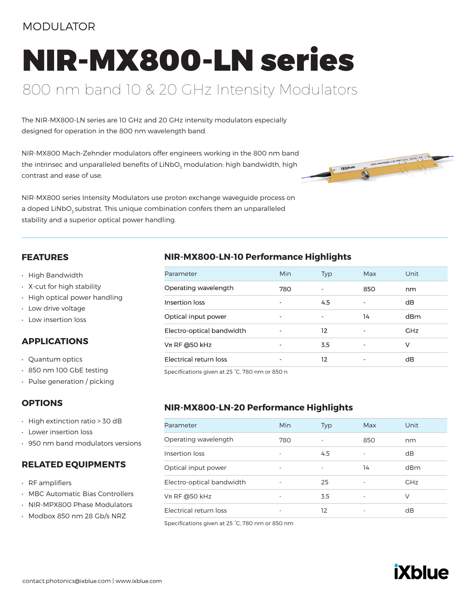## MODULATOR

# NIR-MX800-LN series

# 800 nm band 10 & 20 GHz Intensity Modulators

The NIR-MX800-LN series are 10 GHz and 20 GHz intensity modulators especially designed for operation in the 800 nm wavelength band.

NIR-MX800 Mach-Zehnder modulators offer engineers working in the 800 nm band the intrinsec and unparalleled benefits of LiNbO<sub>3</sub> modulation: high bandwidth, high contrast and ease of use.



NIR-MX800 series Intensity Modulators use proton exchange waveguide process on a doped LiNbO<sub>z</sub> substrat. This unique combination confers them an unparalleled stability and a superior optical power handling.

#### **FEATURES**

- High Bandwidth
- X-cut for high stability
- High optical power handling
- Low drive voltage
- Low insertion loss

#### **APPLICATIONS**

- Quantum optics
- 850 nm 100 GbE testing
- Pulse generation / picking

#### **OPTIONS**

- High extinction ratio > 30 dB
- Lower insertion loss
- 950 nm band modulators versions

#### **RELATED EQUIPMENTS**

- RF amplifiers
- MBC Automatic Bias Controllers
- NIR-MPX800 Phase Modulators
- Modbox 850 nm 28 Gb/s NRZ

#### **NIR-MX800-LN-10 Performance Highlights**

| Parameter                 | Min                      | <b>Typ</b> | Max                      | Unit       |
|---------------------------|--------------------------|------------|--------------------------|------------|
| Operating wavelength      | 780                      |            | 850                      | nm         |
| Insertion loss            |                          | 4.5        |                          | dB         |
| Optical input power       | $\overline{\phantom{a}}$ |            | 14                       | dBm        |
| Electro-optical bandwidth |                          | 12         |                          | <b>GHz</b> |
| $Vπ$ RF @50 kHz           |                          | 3.5        | $\overline{\phantom{0}}$ | v          |
| Electrical return loss    |                          | 12         |                          | dB         |

Specifications given at 25 °C, 780 nm or 850 n

#### **NIR-MX800-LN-20 Performance Highlights**

| Parameter                 | Min                      | Typ | Max | Unit       |
|---------------------------|--------------------------|-----|-----|------------|
| Operating wavelength      | 780                      |     | 850 | nm         |
| Insertion loss            |                          | 4.5 |     | dB         |
| Optical input power       | $\overline{\phantom{a}}$ |     | 14  | dBm        |
| Electro-optical bandwidth |                          | 25  |     | <b>GHz</b> |
| $Vπ$ RF @50 kHz           | $\overline{\phantom{m}}$ | 3.5 |     | V          |
| Electrical return loss    |                          | 12  |     | dB         |

Specifications given at 25 °C, 780 nm or 850 nm

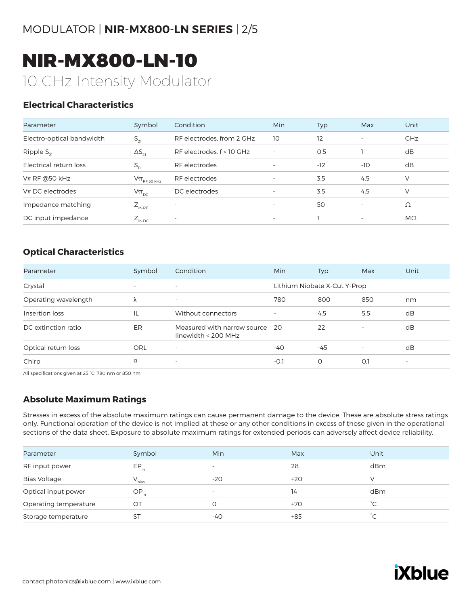NIR-MX800-LN-10 10 GHz Intensity Modulator

#### **Electrical Characteristics**

| Parameter                 | Symbol                      | Condition                 | Min                      | Typ   | Max                      | Unit       |
|---------------------------|-----------------------------|---------------------------|--------------------------|-------|--------------------------|------------|
| Electro-optical bandwidth | $S_{21}$                    | RF electrodes, from 2 GHz | 10                       | 12    | $\overline{\phantom{a}}$ | <b>GHz</b> |
| Ripple $S_{21}$           | $\Delta S_{21}$             | RF electrodes, f < 10 GHz | $\overline{\phantom{a}}$ | O.5   |                          | dB         |
| Electrical return loss    | $S_{11}$                    | RF electrodes             | $\overline{\phantom{a}}$ | $-12$ | -10                      | dB         |
| $Vπ$ RF @50 kHz           | $V\pi$ <sub>RF 50 kHz</sub> | RF electrodes             | $\overline{\phantom{a}}$ | 3.5   | 4.5                      | V          |
| $Vπ$ DC electrodes        | $V\pi_{DC}$                 | DC electrodes             | $\overline{\phantom{a}}$ | 3.5   | 4.5                      | V          |
| Impedance matching        | $Z_{\text{in-RF}}$          |                           | $\overline{\phantom{a}}$ | 50    | $\overline{\phantom{a}}$ | Ω          |
| DC input impedance        | $Z_{\text{in-DC}}$          | $\overline{\phantom{a}}$  | $\overline{\phantom{a}}$ |       | $\overline{\phantom{a}}$ | $M\Omega$  |

#### **Optical Characteristics**

| Parameter            | Symbol                   | Condition                                            | <b>Min</b>               | Typ                          | Max                      | Unit                     |
|----------------------|--------------------------|------------------------------------------------------|--------------------------|------------------------------|--------------------------|--------------------------|
| Crystal              | $\overline{\phantom{0}}$ | $\overline{\phantom{a}}$                             |                          | Lithium Niobate X-Cut Y-Prop |                          |                          |
| Operating wavelength | Λ                        | $\overline{\phantom{a}}$                             | 780                      | 800                          | 850                      | nm                       |
| Insertion loss       | IL                       | Without connectors                                   | $\overline{\phantom{m}}$ | 4.5                          | 5.5                      | dB                       |
| DC extinction ratio  | ER                       | Measured with narrow source<br>linewidth $<$ 200 MHz | - 20                     | 22                           | $\overline{\phantom{a}}$ | dB                       |
| Optical return loss  | ORL                      | ٠                                                    | $-40$                    | $-45$                        | $\overline{\phantom{a}}$ | dB                       |
| Chirp                | α                        | $\overline{\phantom{a}}$                             | $-0.1$                   | $\circ$                      | O.1                      | $\overline{\phantom{a}}$ |

All specifications given at 25 °C, 780 nm or 850 nm

#### **Absolute Maximum Ratings**

Stresses in excess of the absolute maximum ratings can cause permanent damage to the device. These are absolute stress ratings only. Functional operation of the device is not implied at these or any other conditions in excess of those given in the operational sections of the data sheet. Exposure to absolute maximum ratings for extended periods can adversely affect device reliability.

| Parameter             | Symbol     | <b>Min</b>               | Max   | Unit         |
|-----------------------|------------|--------------------------|-------|--------------|
| RF input power        | $EP_{in}$  | $\overline{\phantom{0}}$ | 28    | dBm          |
| <b>Bias Voltage</b>   | $V_{bias}$ | $-20$                    | $+20$ |              |
| Optical input power   | $OP_{in}$  | $\overline{\phantom{a}}$ | 14    | dBm          |
| Operating temperature | OT         | O                        | $+70$ | $^{\circ}C$  |
| Storage temperature   | ST         | -40                      | $+85$ | $^{\circ}$ C |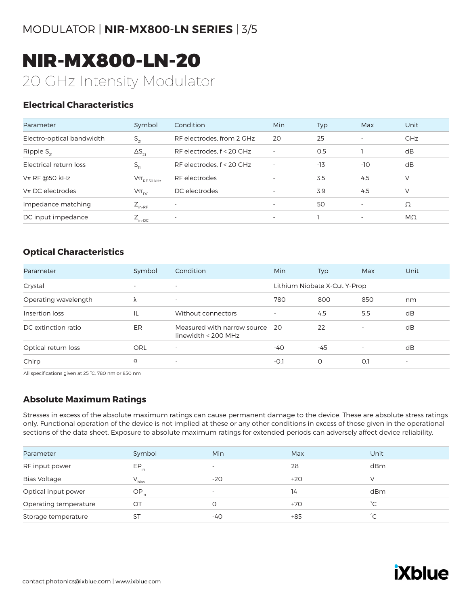NIR-MX800-LN-20 20 GHz Intensity Modulator

#### **Electrical Characteristics**

| Parameter                 | Symbol                                                                              | Condition                 | Min                      | Typ   | Max                      | Unit       |
|---------------------------|-------------------------------------------------------------------------------------|---------------------------|--------------------------|-------|--------------------------|------------|
| Electro-optical bandwidth | $S_{21}$                                                                            | RF electrodes, from 2 GHz | 20                       | 25    | $\overline{\phantom{a}}$ | <b>GHz</b> |
| Ripple $S_{21}$           | $\Delta S_{21}$                                                                     | RF electrodes, f < 20 GHz | $\overline{\phantom{a}}$ | 0.5   |                          | dB         |
| Electrical return loss    | $S_{11}$                                                                            | RF electrodes, f < 20 GHz | $\overline{\phantom{a}}$ | $-13$ | -10                      | dB         |
| $Vπ$ RF @50 kHz           | $\mathsf{V}\pi_{\scriptscriptstyle\mathrm{RF}\,50\,\scriptscriptstyle\mathrm{kHz}}$ | RF electrodes             | $\overline{\phantom{a}}$ | 3.5   | 4.5                      | $\vee$     |
| $Vπ$ DC electrodes        | $V\pi_{\text{pc}}$                                                                  | DC electrodes             | $\overline{\phantom{a}}$ | 3.9   | 4.5                      | $\vee$     |
| Impedance matching        | $Z_{_{\text{in-RF}}}$                                                               | $\overline{\phantom{a}}$  | $\overline{\phantom{a}}$ | 50    | $\overline{\phantom{a}}$ | Ω          |
| DC input impedance        | $Z_{\text{in-DC}}$                                                                  | $\overline{\phantom{a}}$  | $\overline{\phantom{a}}$ |       | $\overline{\phantom{a}}$ | MΩ         |

#### **Optical Characteristics**

| Parameter            | Symbol                   | Condition                                            | <b>Min</b>               | Typ                          | Max                      | Unit                     |
|----------------------|--------------------------|------------------------------------------------------|--------------------------|------------------------------|--------------------------|--------------------------|
| Crystal              | $\overline{\phantom{0}}$ | $\overline{\phantom{a}}$                             |                          | Lithium Niobate X-Cut Y-Prop |                          |                          |
| Operating wavelength | Λ                        | $\overline{\phantom{a}}$                             | 780                      | 800                          | 850                      | nm                       |
| Insertion loss       | IL                       | Without connectors                                   | $\overline{\phantom{m}}$ | 4.5                          | 5.5                      | dB                       |
| DC extinction ratio  | ER                       | Measured with narrow source<br>linewidth $<$ 200 MHz | - 20                     | 22                           | $\overline{\phantom{a}}$ | dB                       |
| Optical return loss  | ORL                      | ٠                                                    | $-40$                    | $-45$                        | $\overline{\phantom{a}}$ | dB                       |
| Chirp                | α                        | $\overline{\phantom{a}}$                             | $-0.1$                   | $\circ$                      | O.1                      | $\overline{\phantom{a}}$ |

All specifications given at 25 °C, 780 nm or 850 nm

#### **Absolute Maximum Ratings**

Stresses in excess of the absolute maximum ratings can cause permanent damage to the device. These are absolute stress ratings only. Functional operation of the device is not implied at these or any other conditions in excess of those given in the operational sections of the data sheet. Exposure to absolute maximum ratings for extended periods can adversely affect device reliability.

| Parameter             | Symbol     | <b>Min</b>               | Max   | Unit         |
|-----------------------|------------|--------------------------|-------|--------------|
| RF input power        | $EP_{in}$  | $\overline{\phantom{0}}$ | 28    | dBm          |
| <b>Bias Voltage</b>   | $V_{bias}$ | $-20$                    | $+20$ |              |
| Optical input power   | $OP_{in}$  | $\overline{\phantom{a}}$ | 14    | dBm          |
| Operating temperature | OT         | O                        | $+70$ | $^{\circ}C$  |
| Storage temperature   | ST         | -40                      | $+85$ | $^{\circ}$ C |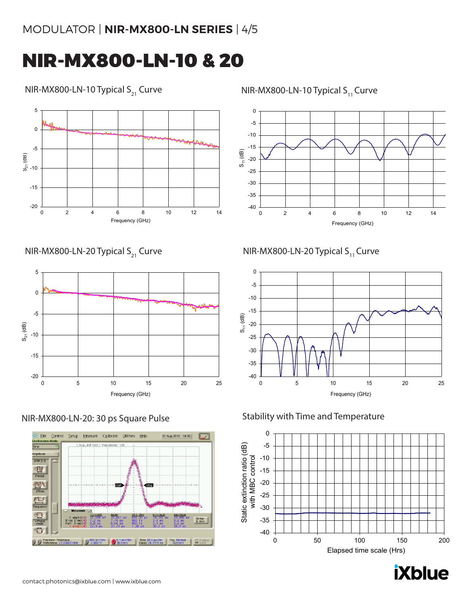# MODULATOR | **NIR-MX800-LN SERIES** | 4/5

# NIR-MX800-LN-10 & 20

#### NIR-MX800-LN-10 Typical  $S_{21}$  Curve

-20 -15 -10 -5  $\mathbf 0$ 5 0 2 4 6 8 10 12 14  $S_{21}$  (dB) Frequency (GHz)

NIR-MX800-LN-20 Typical  $S_{21}$  Curve







NIR-MX800-LN-10 Typical  $S_{11}$  Curve



## NIR-MX800-LN-20 Typical  $S_{11}$  Curve



#### Stability with Time and Temperature